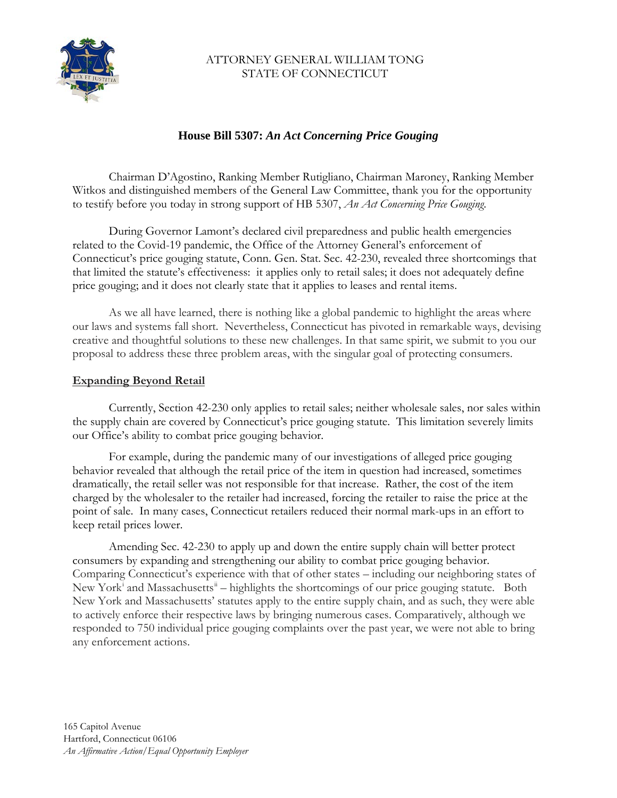

### ATTORNEY GENERAL WILLIAM TONG STATE OF CONNECTICUT

# **House Bill 5307:** *An Act Concerning Price Gouging*

Chairman D'Agostino, Ranking Member Rutigliano, Chairman Maroney, Ranking Member Witkos and distinguished members of the General Law Committee, thank you for the opportunity to testify before you today in strong support of HB 5307, *An Act Concerning Price Gouging*.

During Governor Lamont's declared civil preparedness and public health emergencies related to the Covid-19 pandemic, the Office of the Attorney General's enforcement of Connecticut's price gouging statute, Conn. Gen. Stat. Sec. 42-230, revealed three shortcomings that that limited the statute's effectiveness: it applies only to retail sales; it does not adequately define price gouging; and it does not clearly state that it applies to leases and rental items.

As we all have learned, there is nothing like a global pandemic to highlight the areas where our laws and systems fall short. Nevertheless, Connecticut has pivoted in remarkable ways, devising creative and thoughtful solutions to these new challenges. In that same spirit, we submit to you our proposal to address these three problem areas, with the singular goal of protecting consumers.

#### **Expanding Beyond Retail**

Currently, Section 42-230 only applies to retail sales; neither wholesale sales, nor sales within the supply chain are covered by Connecticut's price gouging statute. This limitation severely limits our Office's ability to combat price gouging behavior.

For example, during the pandemic many of our investigations of alleged price gouging behavior revealed that although the retail price of the item in question had increased, sometimes dramatically, the retail seller was not responsible for that increase. Rather, the cost of the item charged by the wholesaler to the retailer had increased, forcing the retailer to raise the price at the point of sale. In many cases, Connecticut retailers reduced their normal mark-ups in an effort to keep retail prices lower.

Amending Sec. 42-230 to apply up and down the entire supply chain will better protect consumers by expanding and strengthening our ability to combat price gouging behavior. Comparing Connecticut's experience with that of other states – including our neighboring states of New York<sup>[i](#page-2-0)</sup> and Massachusetts<sup>[ii](#page-2-1)</sup> – highlights the shortcomings of our price gouging statute. Both New York and Massachusetts' statutes apply to the entire supply chain, and as such, they were able to actively enforce their respective laws by bringing numerous cases. Comparatively, although we responded to 750 individual price gouging complaints over the past year, we were not able to bring any enforcement actions.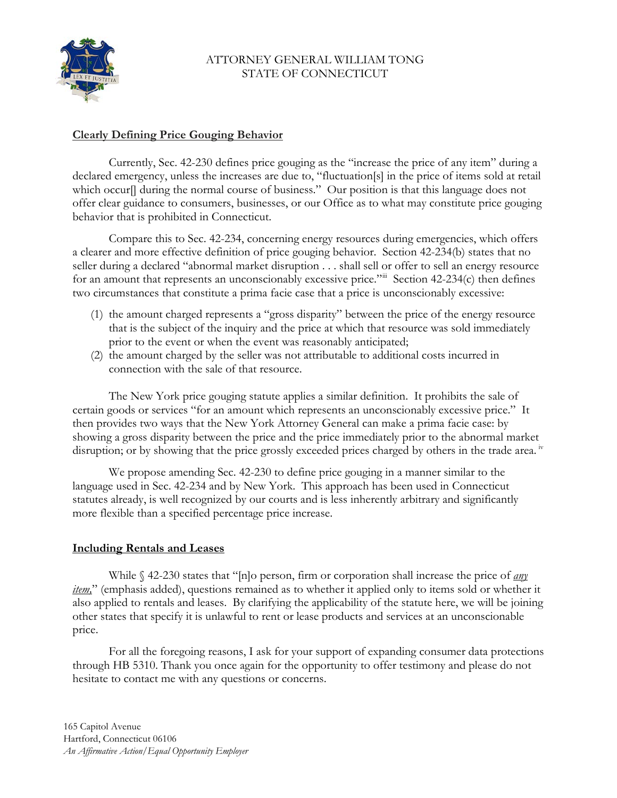

### ATTORNEY GENERAL WILLIAM TONG STATE OF CONNECTICUT

## **Clearly Defining Price Gouging Behavior**

Currently, Sec. 42-230 defines price gouging as the "increase the price of any item" during a declared emergency, unless the increases are due to, "fluctuation[s] in the price of items sold at retail which occur[] during the normal course of business." Our position is that this language does not offer clear guidance to consumers, businesses, or our Office as to what may constitute price gouging behavior that is prohibited in Connecticut.

Compare this to Sec. 42-234, concerning energy resources during emergencies, which offers a clearer and more effective definition of price gouging behavior. Section 42-234(b) states that no seller during a declared "abnormal market disruption . . . shall sell or offer to sell an energy resource for an amount that represents an unconscionably excessive price."[iii](#page-2-2) Section 42-234(c) then defines two circumstances that constitute a prima facie case that a price is unconscionably excessive:

- (1) the amount charged represents a "gross disparity" between the price of the energy resource that is the subject of the inquiry and the price at which that resource was sold immediately prior to the event or when the event was reasonably anticipated;
- (2) the amount charged by the seller was not attributable to additional costs incurred in connection with the sale of that resource.

The New York price gouging statute applies a similar definition. It prohibits the sale of certain goods or services "for an amount which represents an unconscionably excessive price." It then provides two ways that the New York Attorney General can make a prima facie case: by showing a gross disparity between the price and the price immediately prior to the abnormal market disruption; or by showing that the price grossly exceeded prices charged by others in the trade area.<sup>iv</sup>

We propose amending Sec. 42-230 to define price gouging in a manner similar to the language used in Sec. 42-234 and by New York. This approach has been used in Connecticut statutes already, is well recognized by our courts and is less inherently arbitrary and significantly more flexible than a specified percentage price increase.

#### **Including Rentals and Leases**

While § 42-230 states that "[n]o person, firm or corporation shall increase the price of *any item,*" (emphasis added), questions remained as to whether it applied only to items sold or whether it also applied to rentals and leases. By clarifying the applicability of the statute here, we will be joining other states that specify it is unlawful to rent or lease products and services at an unconscionable price.

For all the foregoing reasons, I ask for your support of expanding consumer data protections through HB 5310. Thank you once again for the opportunity to offer testimony and please do not hesitate to contact me with any questions or concerns.